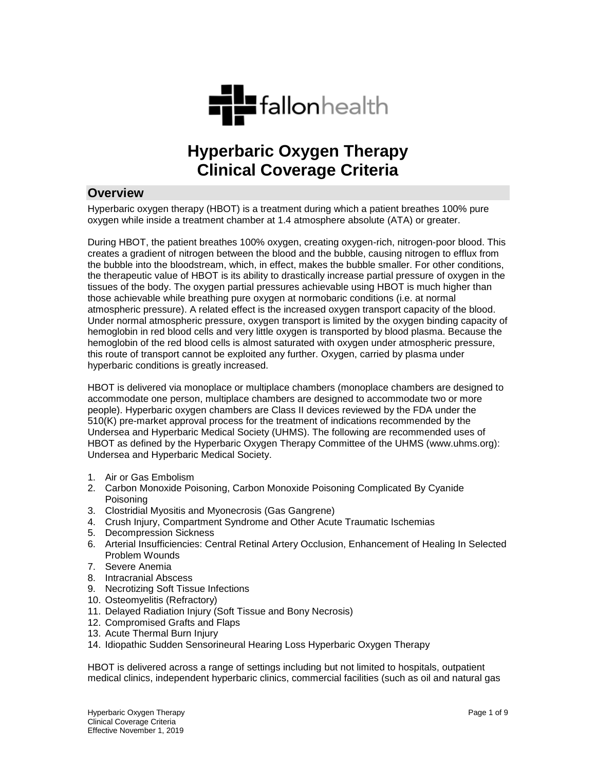

# **Hyperbaric Oxygen Therapy Clinical Coverage Criteria**

## **Overview**

Hyperbaric oxygen therapy (HBOT) is a treatment during which a patient breathes 100% pure oxygen while inside a treatment chamber at 1.4 atmosphere absolute (ATA) or greater.

During HBOT, the patient breathes 100% oxygen, creating oxygen-rich, nitrogen-poor blood. This creates a gradient of nitrogen between the blood and the bubble, causing nitrogen to efflux from the bubble into the bloodstream, which, in effect, makes the bubble smaller. For other conditions, the therapeutic value of HBOT is its ability to drastically increase partial pressure of oxygen in the tissues of the body. The oxygen partial pressures achievable using HBOT is much higher than those achievable while breathing pure oxygen at normobaric conditions (i.e. at normal atmospheric pressure). A related effect is the increased oxygen transport capacity of the blood. Under normal atmospheric pressure, oxygen transport is limited by the oxygen binding capacity of hemoglobin in red blood cells and very little oxygen is transported by blood plasma. Because the hemoglobin of the red blood cells is almost saturated with oxygen under atmospheric pressure, this route of transport cannot be exploited any further. Oxygen, carried by plasma under hyperbaric conditions is greatly increased.

HBOT is delivered via monoplace or multiplace chambers (monoplace chambers are designed to accommodate one person, multiplace chambers are designed to accommodate two or more people). Hyperbaric oxygen chambers are Class II devices reviewed by the FDA under the 510(K) pre-market approval process for the treatment of indications recommended by the Undersea and Hyperbaric Medical Society (UHMS). The following are recommended uses of HBOT as defined by the Hyperbaric Oxygen Therapy Committee of the UHMS (www.uhms.org): Undersea and Hyperbaric Medical Society.

- 1. Air or Gas Embolism
- 2. Carbon Monoxide Poisoning, Carbon Monoxide Poisoning Complicated By Cyanide Poisoning
- 3. Clostridial Myositis and Myonecrosis (Gas Gangrene)
- 4. Crush Injury, Compartment Syndrome and Other Acute Traumatic Ischemias
- 5. Decompression Sickness
- 6. Arterial Insufficiencies: Central Retinal Artery Occlusion, Enhancement of Healing In Selected Problem Wounds
- 7. Severe Anemia
- 8. Intracranial Abscess
- 9. Necrotizing Soft Tissue Infections
- 10. Osteomyelitis (Refractory)
- 11. Delayed Radiation Injury (Soft Tissue and Bony Necrosis)
- 12. Compromised Grafts and Flaps
- 13. Acute Thermal Burn Injury
- 14. Idiopathic Sudden Sensorineural Hearing Loss Hyperbaric Oxygen Therapy

HBOT is delivered across a range of settings including but not limited to hospitals, outpatient medical clinics, independent hyperbaric clinics, commercial facilities (such as oil and natural gas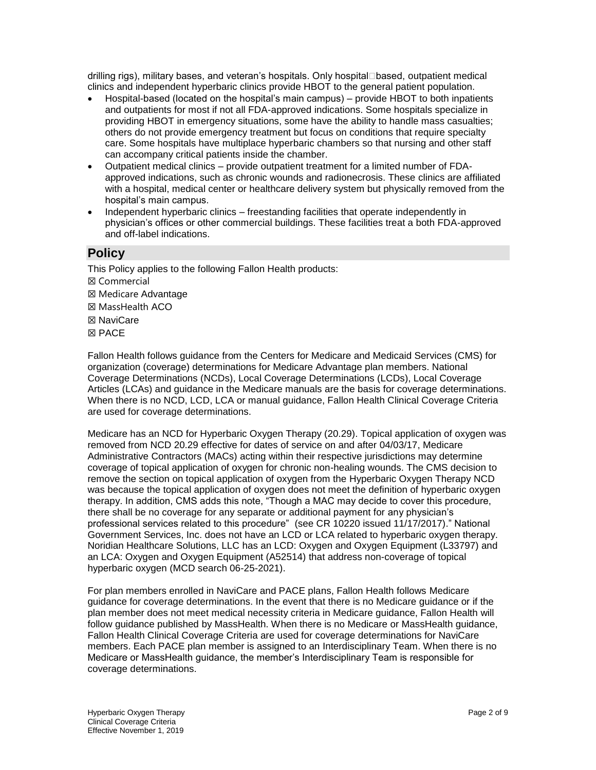drilling rigs), military bases, and veteran's hospitals. Only hospital⊡based, outpatient medical clinics and independent hyperbaric clinics provide HBOT to the general patient population.

- Hospital-based (located on the hospital's main campus) provide HBOT to both inpatients and outpatients for most if not all FDA-approved indications. Some hospitals specialize in providing HBOT in emergency situations, some have the ability to handle mass casualties; others do not provide emergency treatment but focus on conditions that require specialty care. Some hospitals have multiplace hyperbaric chambers so that nursing and other staff can accompany critical patients inside the chamber.
- Outpatient medical clinics provide outpatient treatment for a limited number of FDAapproved indications, such as chronic wounds and radionecrosis. These clinics are affiliated with a hospital, medical center or healthcare delivery system but physically removed from the hospital's main campus.
- Independent hyperbaric clinics freestanding facilities that operate independently in physician's offices or other commercial buildings. These facilities treat a both FDA-approved and off-label indications.

## **Policy**

This Policy applies to the following Fallon Health products:

- ☒ Commercial
- ☒ Medicare Advantage
- ☒ MassHealth ACO
- ☒ NaviCare
- ☒ PACE

Fallon Health follows guidance from the Centers for Medicare and Medicaid Services (CMS) for organization (coverage) determinations for Medicare Advantage plan members. National Coverage Determinations (NCDs), Local Coverage Determinations (LCDs), Local Coverage Articles (LCAs) and guidance in the Medicare manuals are the basis for coverage determinations. When there is no NCD, LCD, LCA or manual guidance, Fallon Health Clinical Coverage Criteria are used for coverage determinations.

Medicare has an NCD for Hyperbaric Oxygen Therapy (20.29). Topical application of oxygen was removed from NCD 20.29 effective for dates of service on and after 04/03/17, Medicare Administrative Contractors (MACs) acting within their respective jurisdictions may determine coverage of topical application of oxygen for chronic non-healing wounds. The CMS decision to remove the section on topical application of oxygen from the Hyperbaric Oxygen Therapy NCD was because the topical application of oxygen does not meet the definition of hyperbaric oxygen therapy. In addition, CMS adds this note, "Though a MAC may decide to cover this procedure, there shall be no coverage for any separate or additional payment for any physician's professional services related to this procedure" (see CR 10220 issued 11/17/2017)." National Government Services, Inc. does not have an LCD or LCA related to hyperbaric oxygen therapy. Noridian Healthcare Solutions, LLC has an LCD: Oxygen and Oxygen Equipment (L33797) and an LCA: Oxygen and Oxygen Equipment (A52514) that address non-coverage of topical hyperbaric oxygen (MCD search 06-25-2021).

For plan members enrolled in NaviCare and PACE plans, Fallon Health follows Medicare guidance for coverage determinations. In the event that there is no Medicare guidance or if the plan member does not meet medical necessity criteria in Medicare guidance, Fallon Health will follow guidance published by MassHealth. When there is no Medicare or MassHealth guidance, Fallon Health Clinical Coverage Criteria are used for coverage determinations for NaviCare members. Each PACE plan member is assigned to an Interdisciplinary Team. When there is no Medicare or MassHealth guidance, the member's Interdisciplinary Team is responsible for coverage determinations.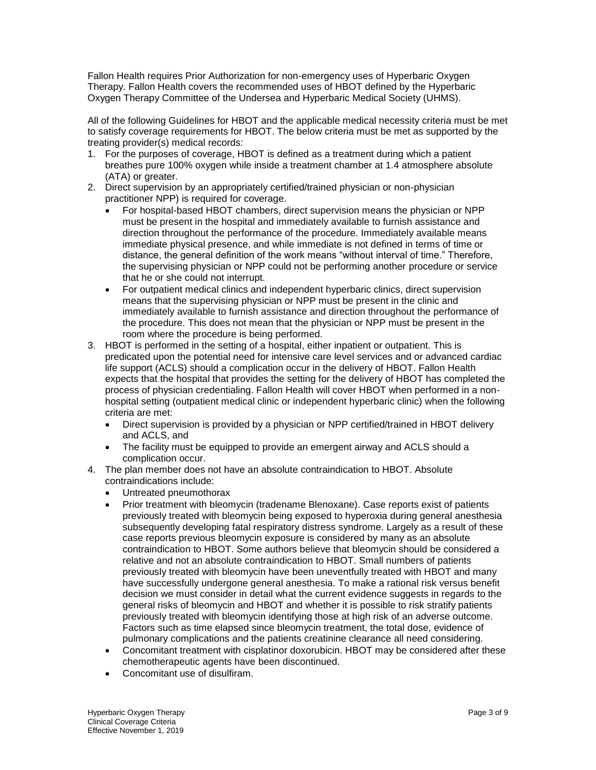Fallon Health requires Prior Authorization for non-emergency uses of Hyperbaric Oxygen Therapy. Fallon Health covers the recommended uses of HBOT defined by the Hyperbaric Oxygen Therapy Committee of the Undersea and Hyperbaric Medical Society (UHMS).

All of the following Guidelines for HBOT and the applicable medical necessity criteria must be met to satisfy coverage requirements for HBOT. The below criteria must be met as supported by the treating provider(s) medical records:

- 1. For the purposes of coverage, HBOT is defined as a treatment during which a patient breathes pure 100% oxygen while inside a treatment chamber at 1.4 atmosphere absolute (ATA) or greater.
- 2. Direct supervision by an appropriately certified/trained physician or non-physician practitioner NPP) is required for coverage.
	- For hospital-based HBOT chambers, direct supervision means the physician or NPP must be present in the hospital and immediately available to furnish assistance and direction throughout the performance of the procedure. Immediately available means immediate physical presence, and while immediate is not defined in terms of time or distance, the general definition of the work means "without interval of time." Therefore, the supervising physician or NPP could not be performing another procedure or service that he or she could not interrupt.
	- For outpatient medical clinics and independent hyperbaric clinics, direct supervision means that the supervising physician or NPP must be present in the clinic and immediately available to furnish assistance and direction throughout the performance of the procedure. This does not mean that the physician or NPP must be present in the room where the procedure is being performed.
- 3. HBOT is performed in the setting of a hospital, either inpatient or outpatient. This is predicated upon the potential need for intensive care level services and or advanced cardiac life support (ACLS) should a complication occur in the delivery of HBOT. Fallon Health expects that the hospital that provides the setting for the delivery of HBOT has completed the process of physician credentialing. Fallon Health will cover HBOT when performed in a nonhospital setting (outpatient medical clinic or independent hyperbaric clinic) when the following criteria are met:
	- Direct supervision is provided by a physician or NPP certified/trained in HBOT delivery and ACLS, and
	- The facility must be equipped to provide an emergent airway and ACLS should a complication occur.
- 4. The plan member does not have an absolute contraindication to HBOT. Absolute contraindications include:
	- Untreated pneumothorax
	- Prior treatment with bleomycin (tradename Blenoxane). Case reports exist of patients previously treated with bleomycin being exposed to hyperoxia during general anesthesia subsequently developing fatal respiratory distress syndrome. Largely as a result of these case reports previous bleomycin exposure is considered by many as an absolute contraindication to HBOT. Some authors believe that bleomycin should be considered a relative and not an absolute contraindication to HBOT. Small numbers of patients previously treated with bleomycin have been uneventfully treated with HBOT and many have successfully undergone general anesthesia. To make a rational risk versus benefit decision we must consider in detail what the current evidence suggests in regards to the general risks of bleomycin and HBOT and whether it is possible to risk stratify patients previously treated with bleomycin identifying those at high risk of an adverse outcome. Factors such as time elapsed since bleomycin treatment, the total dose, evidence of pulmonary complications and the patients creatinine clearance all need considering.
	- Concomitant treatment with cisplatinor doxorubicin. HBOT may be considered after these chemotherapeutic agents have been discontinued.
	- Concomitant use of disulfiram.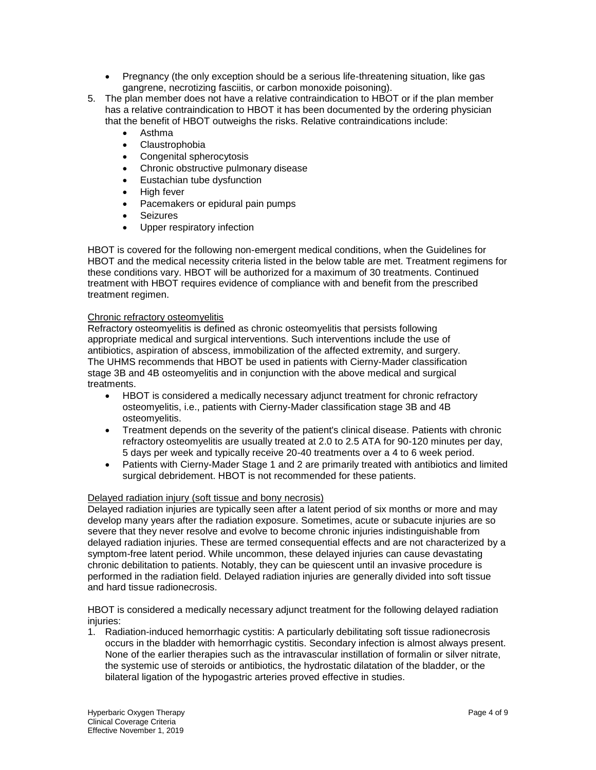- Pregnancy (the only exception should be a serious life-threatening situation, like gas gangrene, necrotizing fasciitis, or carbon monoxide poisoning).
- 5. The plan member does not have a relative contraindication to HBOT or if the plan member has a relative contraindication to HBOT it has been documented by the ordering physician that the benefit of HBOT outweighs the risks. Relative contraindications include:
	- Asthma
	- Claustrophobia
	- Congenital spherocytosis
	- Chronic obstructive pulmonary disease
	- Eustachian tube dysfunction
	- High fever
	- Pacemakers or epidural pain pumps
	- Seizures
	- Upper respiratory infection

HBOT is covered for the following non-emergent medical conditions, when the Guidelines for HBOT and the medical necessity criteria listed in the below table are met. Treatment regimens for these conditions vary. HBOT will be authorized for a maximum of 30 treatments. Continued treatment with HBOT requires evidence of compliance with and benefit from the prescribed treatment regimen.

## Chronic refractory osteomyelitis

Refractory osteomyelitis is defined as chronic osteomyelitis that persists following appropriate medical and surgical interventions. Such interventions include the use of antibiotics, aspiration of abscess, immobilization of the affected extremity, and surgery. The UHMS recommends that HBOT be used in patients with Cierny-Mader classification stage 3B and 4B osteomyelitis and in conjunction with the above medical and surgical treatments.

- HBOT is considered a medically necessary adjunct treatment for chronic refractory osteomyelitis, i.e., patients with Cierny-Mader classification stage 3B and 4B osteomyelitis.
- Treatment depends on the severity of the patient's clinical disease. Patients with chronic refractory osteomyelitis are usually treated at 2.0 to 2.5 ATA for 90-120 minutes per day, 5 days per week and typically receive 20-40 treatments over a 4 to 6 week period.
- Patients with Cierny-Mader Stage 1 and 2 are primarily treated with antibiotics and limited surgical debridement. HBOT is not recommended for these patients.

## Delayed radiation injury (soft tissue and bony necrosis)

Delayed radiation injuries are typically seen after a latent period of six months or more and may develop many years after the radiation exposure. Sometimes, acute or subacute injuries are so severe that they never resolve and evolve to become chronic injuries indistinguishable from delayed radiation injuries. These are termed consequential effects and are not characterized by a symptom-free latent period. While uncommon, these delayed injuries can cause devastating chronic debilitation to patients. Notably, they can be quiescent until an invasive procedure is performed in the radiation field. Delayed radiation injuries are generally divided into soft tissue and hard tissue radionecrosis.

HBOT is considered a medically necessary adjunct treatment for the following delayed radiation injuries:

1. Radiation-induced hemorrhagic cystitis: A particularly debilitating soft tissue radionecrosis occurs in the bladder with hemorrhagic cystitis. Secondary infection is almost always present. None of the earlier therapies such as the intravascular instillation of formalin or silver nitrate, the systemic use of steroids or antibiotics, the hydrostatic dilatation of the bladder, or the bilateral ligation of the hypogastric arteries proved effective in studies.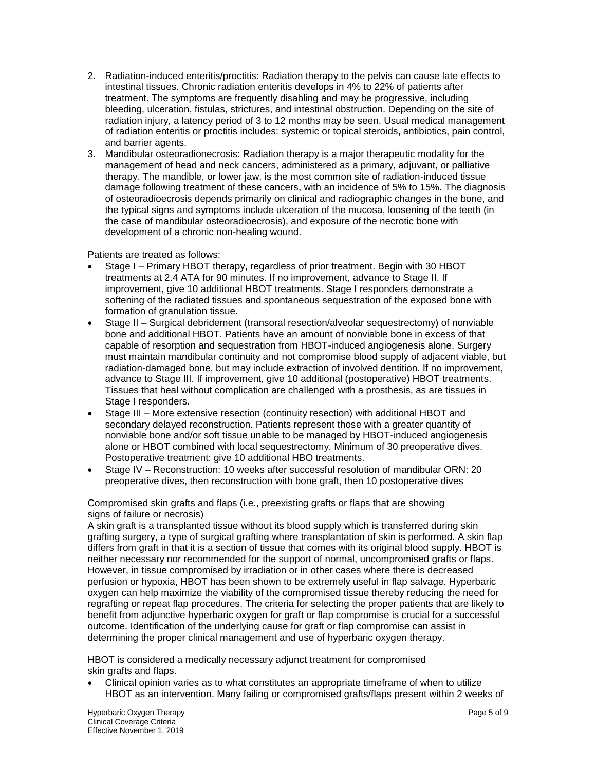- 2. Radiation-induced enteritis/proctitis: Radiation therapy to the pelvis can cause late effects to intestinal tissues. Chronic radiation enteritis develops in 4% to 22% of patients after treatment. The symptoms are frequently disabling and may be progressive, including bleeding, ulceration, fistulas, strictures, and intestinal obstruction. Depending on the site of radiation injury, a latency period of 3 to 12 months may be seen. Usual medical management of radiation enteritis or proctitis includes: systemic or topical steroids, antibiotics, pain control, and barrier agents.
- 3. Mandibular osteoradionecrosis: Radiation therapy is a major therapeutic modality for the management of head and neck cancers, administered as a primary, adjuvant, or palliative therapy. The mandible, or lower jaw, is the most common site of radiation-induced tissue damage following treatment of these cancers, with an incidence of 5% to 15%. The diagnosis of osteoradioecrosis depends primarily on clinical and radiographic changes in the bone, and the typical signs and symptoms include ulceration of the mucosa, loosening of the teeth (in the case of mandibular osteoradioecrosis), and exposure of the necrotic bone with development of a chronic non-healing wound.

Patients are treated as follows:

- Stage I Primary HBOT therapy, regardless of prior treatment. Begin with 30 HBOT treatments at 2.4 ATA for 90 minutes. If no improvement, advance to Stage II. If improvement, give 10 additional HBOT treatments. Stage I responders demonstrate a softening of the radiated tissues and spontaneous sequestration of the exposed bone with formation of granulation tissue.
- Stage II Surgical debridement (transoral resection/alveolar sequestrectomy) of nonviable bone and additional HBOT. Patients have an amount of nonviable bone in excess of that capable of resorption and sequestration from HBOT-induced angiogenesis alone. Surgery must maintain mandibular continuity and not compromise blood supply of adjacent viable, but radiation-damaged bone, but may include extraction of involved dentition. If no improvement, advance to Stage III. If improvement, give 10 additional (postoperative) HBOT treatments. Tissues that heal without complication are challenged with a prosthesis, as are tissues in Stage I responders.
- Stage III More extensive resection (continuity resection) with additional HBOT and secondary delayed reconstruction. Patients represent those with a greater quantity of nonviable bone and/or soft tissue unable to be managed by HBOT-induced angiogenesis alone or HBOT combined with local sequestrectomy. Minimum of 30 preoperative dives. Postoperative treatment: give 10 additional HBO treatments.
- Stage IV Reconstruction: 10 weeks after successful resolution of mandibular ORN: 20 preoperative dives, then reconstruction with bone graft, then 10 postoperative dives

## Compromised skin grafts and flaps (i.e., preexisting grafts or flaps that are showing signs of failure or necrosis)

A skin graft is a transplanted tissue without its blood supply which is transferred during skin grafting surgery, a type of surgical grafting where transplantation of skin is performed. A skin flap differs from graft in that it is a section of tissue that comes with its original blood supply. HBOT is neither necessary nor recommended for the support of normal, uncompromised grafts or flaps. However, in tissue compromised by irradiation or in other cases where there is decreased perfusion or hypoxia, HBOT has been shown to be extremely useful in flap salvage. Hyperbaric oxygen can help maximize the viability of the compromised tissue thereby reducing the need for regrafting or repeat flap procedures. The criteria for selecting the proper patients that are likely to benefit from adjunctive hyperbaric oxygen for graft or flap compromise is crucial for a successful outcome. Identification of the underlying cause for graft or flap compromise can assist in determining the proper clinical management and use of hyperbaric oxygen therapy.

HBOT is considered a medically necessary adjunct treatment for compromised skin grafts and flaps.

 Clinical opinion varies as to what constitutes an appropriate timeframe of when to utilize HBOT as an intervention. Many failing or compromised grafts/flaps present within 2 weeks of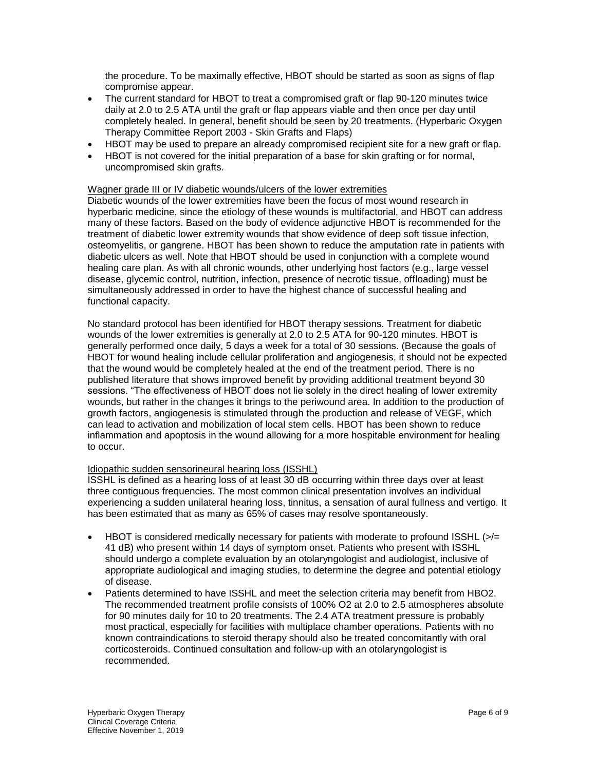the procedure. To be maximally effective, HBOT should be started as soon as signs of flap compromise appear.

- The current standard for HBOT to treat a compromised graft or flap 90-120 minutes twice daily at 2.0 to 2.5 ATA until the graft or flap appears viable and then once per day until completely healed. In general, benefit should be seen by 20 treatments. (Hyperbaric Oxygen Therapy Committee Report 2003 - Skin Grafts and Flaps)
- HBOT may be used to prepare an already compromised recipient site for a new graft or flap.
- HBOT is not covered for the initial preparation of a base for skin grafting or for normal, uncompromised skin grafts.

#### Wagner grade III or IV diabetic wounds/ulcers of the lower extremities

Diabetic wounds of the lower extremities have been the focus of most wound research in hyperbaric medicine, since the etiology of these wounds is multifactorial, and HBOT can address many of these factors. Based on the body of evidence adjunctive HBOT is recommended for the treatment of diabetic lower extremity wounds that show evidence of deep soft tissue infection, osteomyelitis, or gangrene. HBOT has been shown to reduce the amputation rate in patients with diabetic ulcers as well. Note that HBOT should be used in conjunction with a complete wound healing care plan. As with all chronic wounds, other underlying host factors (e.g., large vessel disease, glycemic control, nutrition, infection, presence of necrotic tissue, offloading) must be simultaneously addressed in order to have the highest chance of successful healing and functional capacity.

No standard protocol has been identified for HBOT therapy sessions. Treatment for diabetic wounds of the lower extremities is generally at 2.0 to 2.5 ATA for 90-120 minutes. HBOT is generally performed once daily, 5 days a week for a total of 30 sessions. (Because the goals of HBOT for wound healing include cellular proliferation and angiogenesis, it should not be expected that the wound would be completely healed at the end of the treatment period. There is no published literature that shows improved benefit by providing additional treatment beyond 30 sessions. "The effectiveness of HBOT does not lie solely in the direct healing of lower extremity wounds, but rather in the changes it brings to the periwound area. In addition to the production of growth factors, angiogenesis is stimulated through the production and release of VEGF, which can lead to activation and mobilization of local stem cells. HBOT has been shown to reduce inflammation and apoptosis in the wound allowing for a more hospitable environment for healing to occur.

#### Idiopathic sudden sensorineural hearing loss (ISSHL)

ISSHL is defined as a hearing loss of at least 30 dB occurring within three days over at least three contiguous frequencies. The most common clinical presentation involves an individual experiencing a sudden unilateral hearing loss, tinnitus, a sensation of aural fullness and vertigo. It has been estimated that as many as 65% of cases may resolve spontaneously.

- HBOT is considered medically necessary for patients with moderate to profound ISSHL  $\left| \right|$ 41 dB) who present within 14 days of symptom onset. Patients who present with ISSHL should undergo a complete evaluation by an otolaryngologist and audiologist, inclusive of appropriate audiological and imaging studies, to determine the degree and potential etiology of disease.
- Patients determined to have ISSHL and meet the selection criteria may benefit from HBO2. The recommended treatment profile consists of 100% O2 at 2.0 to 2.5 atmospheres absolute for 90 minutes daily for 10 to 20 treatments. The 2.4 ATA treatment pressure is probably most practical, especially for facilities with multiplace chamber operations. Patients with no known contraindications to steroid therapy should also be treated concomitantly with oral corticosteroids. Continued consultation and follow-up with an otolaryngologist is recommended.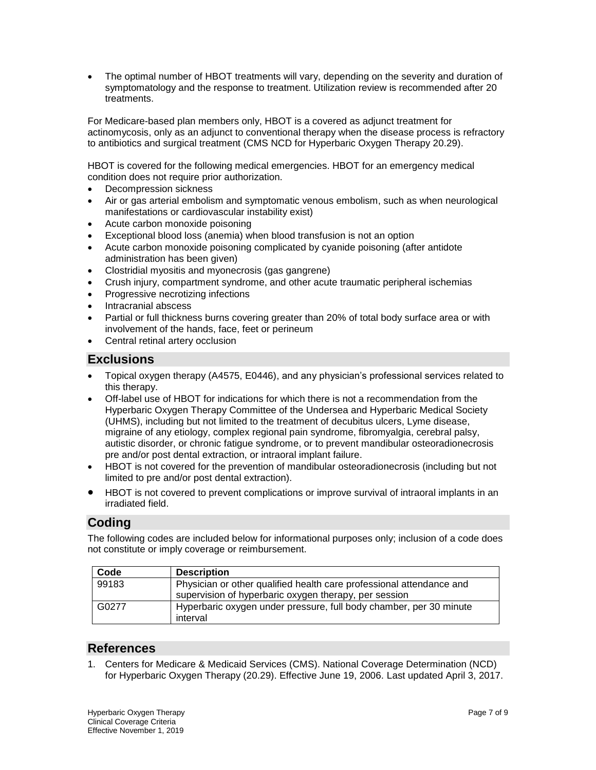The optimal number of HBOT treatments will vary, depending on the severity and duration of symptomatology and the response to treatment. Utilization review is recommended after 20 treatments.

For Medicare-based plan members only, HBOT is a covered as adjunct treatment for actinomycosis, only as an adjunct to conventional therapy when the disease process is refractory to antibiotics and surgical treatment [\(CMS NCD for Hyperbaric Oxygen Therapy 20.29\)](https://www.cms.gov/medicare-coverage-database/details/ncd-details.aspx?ncdid=12).

HBOT is covered for the following medical emergencies. HBOT for an emergency medical condition does not require prior authorization.

- Decompression sickness
- Air or gas arterial embolism and symptomatic venous embolism, such as when neurological manifestations or cardiovascular instability exist)
- Acute carbon monoxide poisoning
- Exceptional blood loss (anemia) when blood transfusion is not an option
- Acute carbon monoxide poisoning complicated by cyanide poisoning (after antidote administration has been given)
- Clostridial myositis and myonecrosis (gas gangrene)
- Crush injury, compartment syndrome, and other acute traumatic peripheral ischemias
- Progressive necrotizing infections
- Intracranial abscess
- Partial or full thickness burns covering greater than 20% of total body surface area or with involvement of the hands, face, feet or perineum
- Central retinal artery occlusion

## **Exclusions**

- Topical oxygen therapy (A4575, E0446), and any physician's professional services related to this therapy.
- Off-label use of HBOT for indications for which there is not a recommendation from the Hyperbaric Oxygen Therapy Committee of the Undersea and Hyperbaric Medical Society (UHMS), including but not limited to the treatment of decubitus ulcers, Lyme disease, migraine of any etiology, complex regional pain syndrome, fibromyalgia, cerebral palsy, autistic disorder, or chronic fatigue syndrome, or to prevent mandibular osteoradionecrosis pre and/or post dental extraction, or intraoral implant failure.
- HBOT is not covered for the prevention of mandibular osteoradionecrosis (including but not limited to pre and/or post dental extraction).
- HBOT is not covered to prevent complications or improve survival of intraoral implants in an irradiated field.

# **Coding**

The following codes are included below for informational purposes only; inclusion of a code does not constitute or imply coverage or reimbursement.

| Code  | <b>Description</b>                                                                                                            |
|-------|-------------------------------------------------------------------------------------------------------------------------------|
| 99183 | Physician or other qualified health care professional attendance and<br>supervision of hyperbaric oxygen therapy, per session |
| G0277 | Hyperbaric oxygen under pressure, full body chamber, per 30 minute<br>interval                                                |

## **References**

1. Centers for Medicare & Medicaid Services (CMS). National Coverage Determination (NCD) for Hyperbaric Oxygen Therapy (20.29). Effective June 19, 2006. Last updated April 3, 2017.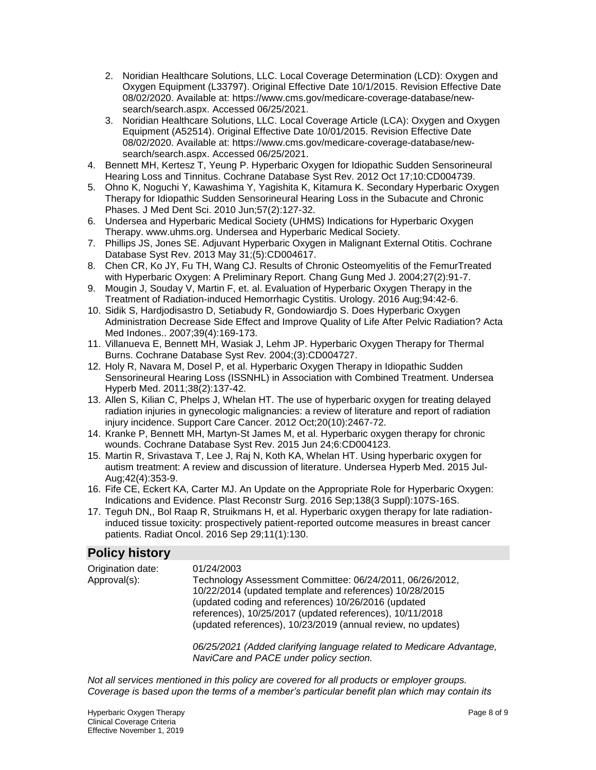- 2. Noridian Healthcare Solutions, LLC. Local Coverage Determination (LCD): Oxygen and Oxygen Equipment (L33797). Original Effective Date 10/1/2015. Revision Effective Date 08/02/2020. Available at: [https://www.cms.gov/medicare-coverage-database/new](https://www.cms.gov/medicare-coverage-database/new-search/search.aspx)[search/search.aspx.](https://www.cms.gov/medicare-coverage-database/new-search/search.aspx) Accessed 06/25/2021.
- 3. Noridian Healthcare Solutions, LLC. Local Coverage Article (LCA): Oxygen and Oxygen Equipment (A52514). Original Effective Date 10/01/2015. Revision Effective Date 08/02/2020. Available at: [https://www.cms.gov/medicare-coverage-database/new](https://www.cms.gov/medicare-coverage-database/new-search/search.aspx)[search/search.aspx.](https://www.cms.gov/medicare-coverage-database/new-search/search.aspx) Accessed 06/25/2021.
- 4. Bennett MH, Kertesz T, Yeung P. Hyperbaric Oxygen for Idiopathic Sudden Sensorineural Hearing Loss and Tinnitus. Cochrane Database Syst Rev. 2012 Oct 17;10:CD004739.
- 5. Ohno K, Noguchi Y, Kawashima Y, Yagishita K, Kitamura K. Secondary Hyperbaric Oxygen Therapy for Idiopathic Sudden Sensorineural Hearing Loss in the Subacute and Chronic Phases. J Med Dent Sci. 2010 Jun;57(2):127-32.
- 6. Undersea and Hyperbaric Medical Society (UHMS) Indications for Hyperbaric Oxygen Therapy. www.uhms.org. Undersea and Hyperbaric Medical Society.
- 7. Phillips JS, Jones SE. Adjuvant Hyperbaric Oxygen in Malignant External Otitis. Cochrane Database Syst Rev. 2013 May 31;(5):CD004617.
- 8. Chen CR, Ko JY, Fu TH, Wang CJ. Results of Chronic Osteomyelitis of the FemurTreated with Hyperbaric Oxygen: A Preliminary Report. Chang Gung Med J. 2004;27(2):91-7.
- 9. Mougin J, Souday V, Martin F, et. al. Evaluation of Hyperbaric Oxygen Therapy in the Treatment of Radiation-induced Hemorrhagic Cystitis. Urology. 2016 Aug;94:42-6.
- 10. Sidik S, Hardjodisastro D, Setiabudy R, Gondowiardjo S. Does Hyperbaric Oxygen Administration Decrease Side Effect and Improve Quality of Life After Pelvic Radiation? Acta Med Indones.. 2007;39(4):169-173.
- 11. Villanueva E, Bennett MH, Wasiak J, Lehm JP. Hyperbaric Oxygen Therapy for Thermal Burns. Cochrane Database Syst Rev. 2004;(3):CD004727.
- 12. Holy R, Navara M, Dosel P, et al. Hyperbaric Oxygen Therapy in Idiopathic Sudden Sensorineural Hearing Loss (ISSNHL) in Association with Combined Treatment. Undersea Hyperb Med. 2011;38(2):137-42.
- 13. Allen S, Kilian C, Phelps J, Whelan HT. The use of hyperbaric oxygen for treating delayed radiation injuries in gynecologic malignancies: a review of literature and report of radiation injury incidence. Support Care Cancer. 2012 Oct;20(10):2467-72.
- 14. Kranke P, Bennett MH, Martyn-St James M, et al. Hyperbaric oxygen therapy for chronic wounds. Cochrane Database Syst Rev. 2015 Jun 24;6:CD004123.
- 15. Martin R, Srivastava T, Lee J, Raj N, Koth KA, Whelan HT. Using hyperbaric oxygen for autism treatment: A review and discussion of literature. Undersea Hyperb Med. 2015 Jul-Aug;42(4):353-9.
- 16. Fife CE, Eckert KA, Carter MJ. An Update on the Appropriate Role for Hyperbaric Oxygen: Indications and Evidence. Plast Reconstr Surg. 2016 Sep;138(3 Suppl):107S-16S.
- 17. Teguh DN,, Bol Raap R, Struikmans H, et al. Hyperbaric oxygen therapy for late radiationinduced tissue toxicity: prospectively patient-reported outcome measures in breast cancer patients. Radiat Oncol. 2016 Sep 29;11(1):130.

# **Policy history**

| Origination date: | 01/24/2003                                                                                                               |
|-------------------|--------------------------------------------------------------------------------------------------------------------------|
| Approval(s):      | Technology Assessment Committee: 06/24/2011, 06/26/2012,                                                                 |
|                   | 10/22/2014 (updated template and references) 10/28/2015<br>(updated coding and references) 10/26/2016 (updated           |
|                   | references), 10/25/2017 (updated references), 10/11/2018<br>(updated references), 10/23/2019 (annual review, no updates) |
|                   | 06/25/2021 (Added clarifying language related to Medicare Advantage,                                                     |
|                   | NaviCare and PACE under policy section.                                                                                  |

*Not all services mentioned in this policy are covered for all products or employer groups. Coverage is based upon the terms of a member's particular benefit plan which may contain its*